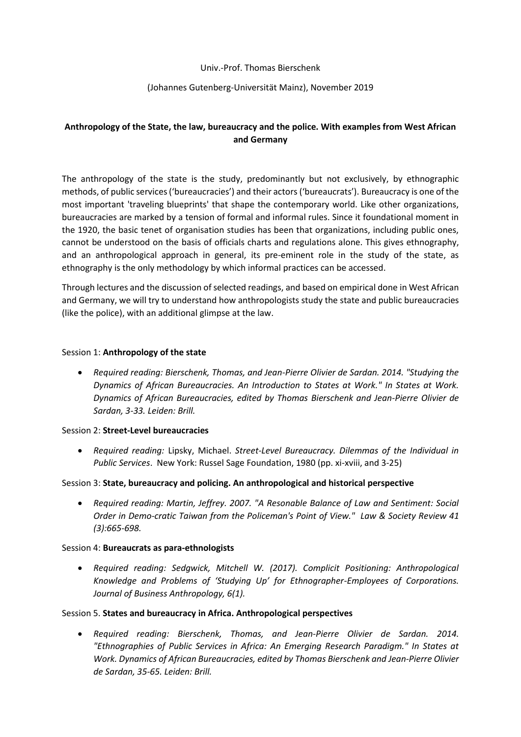## Univ.-Prof. Thomas Bierschenk

# (Johannes Gutenberg-Universität Mainz), November 2019

# **Anthropology of the State, the law, bureaucracy and the police. With examples from West African and Germany**

The anthropology of the state is the study, predominantly but not exclusively, by ethnographic methods, of public services ('bureaucracies') and their actors ('bureaucrats'). Bureaucracy is one of the most important 'traveling blueprints' that shape the contemporary world. Like other organizations, bureaucracies are marked by a tension of formal and informal rules. Since it foundational moment in the 1920, the basic tenet of organisation studies has been that organizations, including public ones, cannot be understood on the basis of officials charts and regulations alone. This gives ethnography, and an anthropological approach in general, its pre-eminent role in the study of the state, as ethnography is the only methodology by which informal practices can be accessed.

Through lectures and the discussion of selected readings, and based on empirical done in West African and Germany, we will try to understand how anthropologists study the state and public bureaucracies (like the police), with an additional glimpse at the law.

#### Session 1: **Anthropology of the state**

 *Required reading: Bierschenk, Thomas, and Jean-Pierre Olivier de Sardan. 2014. "Studying the Dynamics of African Bureaucracies. An Introduction to States at Work." In States at Work. Dynamics of African Bureaucracies, edited by Thomas Bierschenk and Jean-Pierre Olivier de Sardan, 3-33. Leiden: Brill.*

#### Session 2: **Street-Level bureaucracies**

 *Required reading:* Lipsky, Michael. *Street-Level Bureaucracy. Dilemmas of the Individual in Public Services*. New York: Russel Sage Foundation, 1980 (pp. xi-xviii, and 3-25)

#### Session 3: **State, bureaucracy and policing. An anthropological and historical perspective**

 *Required reading: Martin, Jeffrey. 2007. "A Resonable Balance of Law and Sentiment: Social Order in Demo-cratic Taiwan from the Policeman's Point of View." Law & Society Review 41 (3):665-698.*

#### Session 4: **Bureaucrats as para-ethnologists**

 *Required reading: Sedgwick, Mitchell W. (2017). Complicit Positioning: Anthropological Knowledge and Problems of 'Studying Up' for Ethnographer-Employees of Corporations. Journal of Business Anthropology, 6(1).*

#### Session 5. **States and bureaucracy in Africa. Anthropological perspectives**

 *Required reading: Bierschenk, Thomas, and Jean-Pierre Olivier de Sardan. 2014. "Ethnographies of Public Services in Africa: An Emerging Research Paradigm." In States at Work. Dynamics of African Bureaucracies, edited by Thomas Bierschenk and Jean-Pierre Olivier de Sardan, 35-65. Leiden: Brill.*